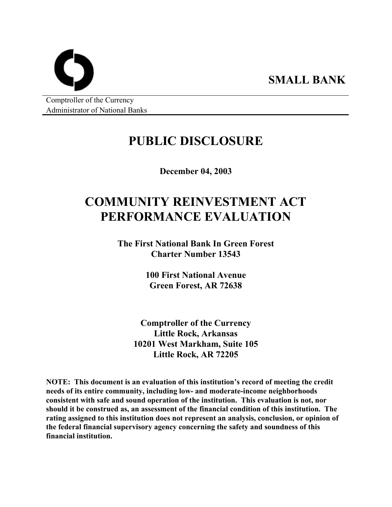Comptroller of the Currency Administrator of National Banks

## **PUBLIC DISCLOSURE**

**SMALL BANK** 

**December 04, 2003** 

# **COMMUNITY REINVESTMENT ACT PERFORMANCE EVALUATION**

**The First National Bank In Green Forest Charter Number 13543** 

> **100 First National Avenue Green Forest, AR 72638**

**Comptroller of the Currency Little Rock, Arkansas 10201 West Markham, Suite 105 Little Rock, AR 72205** 

**NOTE: This document is an evaluation of this institution's record of meeting the credit needs of its entire community, including low- and moderate-income neighborhoods consistent with safe and sound operation of the institution. This evaluation is not, nor should it be construed as, an assessment of the financial condition of this institution. The rating assigned to this institution does not represent an analysis, conclusion, or opinion of the federal financial supervisory agency concerning the safety and soundness of this financial institution.**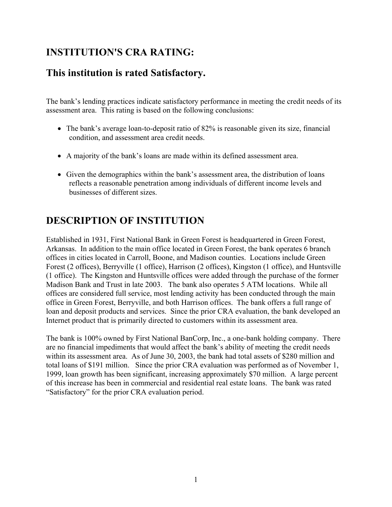### **INSTITUTION'S CRA RATING:**

### **This institution is rated Satisfactory.**

The bank's lending practices indicate satisfactory performance in meeting the credit needs of its assessment area. This rating is based on the following conclusions:

- The bank's average loan-to-deposit ratio of 82% is reasonable given its size, financial condition, and assessment area credit needs.
- A majority of the bank's loans are made within its defined assessment area.
- Given the demographics within the bank's assessment area, the distribution of loans reflects a reasonable penetration among individuals of different income levels and businesses of different sizes.

### **DESCRIPTION OF INSTITUTION**

Established in 1931, First National Bank in Green Forest is headquartered in Green Forest, Arkansas. In addition to the main office located in Green Forest, the bank operates 6 branch offices in cities located in Carroll, Boone, and Madison counties. Locations include Green Forest (2 offices), Berryville (1 office), Harrison (2 offices), Kingston (1 office), and Huntsville (1 office). The Kingston and Huntsville offices were added through the purchase of the former Madison Bank and Trust in late 2003. The bank also operates 5 ATM locations. While all offices are considered full service, most lending activity has been conducted through the main office in Green Forest, Berryville, and both Harrison offices. The bank offers a full range of loan and deposit products and services. Since the prior CRA evaluation, the bank developed an Internet product that is primarily directed to customers within its assessment area.

The bank is 100% owned by First National BanCorp, Inc., a one-bank holding company. There are no financial impediments that would affect the bank's ability of meeting the credit needs within its assessment area. As of June 30, 2003, the bank had total assets of \$280 million and total loans of \$191 million. Since the prior CRA evaluation was performed as of November 1, 1999, loan growth has been significant, increasing approximately \$70 million. A large percent of this increase has been in commercial and residential real estate loans. The bank was rated "Satisfactory" for the prior CRA evaluation period.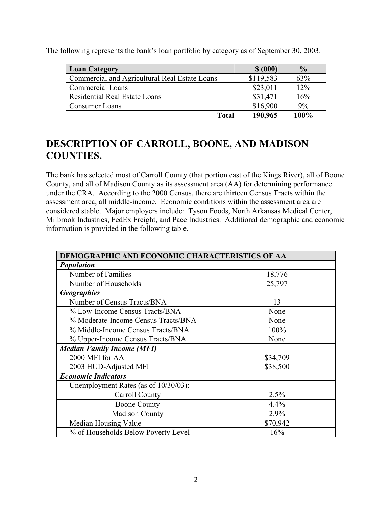| <b>Loan Category</b>                          | \$ (000)  | $\frac{0}{0}$ |
|-----------------------------------------------|-----------|---------------|
| Commercial and Agricultural Real Estate Loans | \$119,583 | 63%           |
| <b>Commercial Loans</b>                       | \$23,011  | 12%           |
| <b>Residential Real Estate Loans</b>          | \$31,471  | 16%           |
| Consumer Loans                                | \$16,900  | 9%            |
| <b>Total</b>                                  | 190,965   | 100%          |

The following represents the bank's loan portfolio by category as of September 30, 2003.

### **DESCRIPTION OF CARROLL, BOONE, AND MADISON COUNTIES.**

The bank has selected most of Carroll County (that portion east of the Kings River), all of Boone County, and all of Madison County as its assessment area (AA) for determining performance under the CRA. According to the 2000 Census, there are thirteen Census Tracts within the assessment area, all middle-income. Economic conditions within the assessment area are considered stable. Major employers include: Tyson Foods, North Arkansas Medical Center, Milbrook Industries, FedEx Freight, and Pace Industries. Additional demographic and economic information is provided in the following table.

| DEMOGRAPHIC AND ECONOMIC CHARACTERISTICS OF AA |          |  |  |  |  |
|------------------------------------------------|----------|--|--|--|--|
| <b>Population</b>                              |          |  |  |  |  |
| Number of Families                             | 18,776   |  |  |  |  |
| Number of Households                           | 25,797   |  |  |  |  |
| <b>Geographies</b>                             |          |  |  |  |  |
| Number of Census Tracts/BNA                    | 13       |  |  |  |  |
| % Low-Income Census Tracts/BNA                 | None     |  |  |  |  |
| % Moderate-Income Census Tracts/BNA            | None     |  |  |  |  |
| % Middle-Income Census Tracts/BNA              | 100%     |  |  |  |  |
| % Upper-Income Census Tracts/BNA               | None     |  |  |  |  |
| <b>Median Family Income (MFI)</b>              |          |  |  |  |  |
| 2000 MFI for AA                                | \$34,709 |  |  |  |  |
| 2003 HUD-Adjusted MFI                          | \$38,500 |  |  |  |  |
| <b>Economic Indicators</b>                     |          |  |  |  |  |
| Unemployment Rates (as of $10/30/03$ ):        |          |  |  |  |  |
| Carroll County                                 | 2.5%     |  |  |  |  |
| <b>Boone County</b>                            | 4.4%     |  |  |  |  |
| <b>Madison County</b>                          | 2.9%     |  |  |  |  |
| Median Housing Value<br>\$70,942               |          |  |  |  |  |
| % of Households Below Poverty Level            | 16%      |  |  |  |  |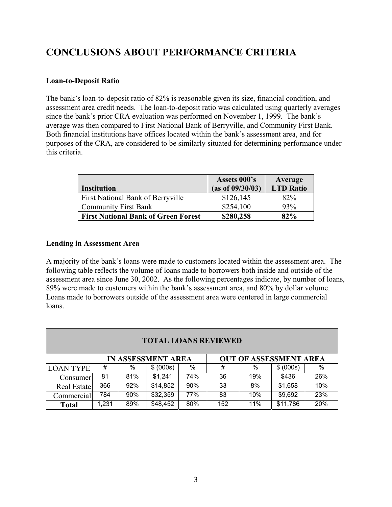### **CONCLUSIONS ABOUT PERFORMANCE CRITERIA**

#### **Loan-to-Deposit Ratio**

The bank's loan-to-deposit ratio of 82% is reasonable given its size, financial condition, and assessment area credit needs. The loan-to-deposit ratio was calculated using quarterly averages since the bank's prior CRA evaluation was performed on November 1, 1999. The bank's average was then compared to First National Bank of Berryville, and Community First Bank. Both financial institutions have offices located within the bank's assessment area, and for purposes of the CRA, are considered to be similarly situated for determining performance under this criteria.

|                                            | Assets 000's     | Average          |
|--------------------------------------------|------------------|------------------|
| <b>Institution</b>                         | (as of 09/30/03) | <b>LTD Ratio</b> |
| First National Bank of Berryville          | \$126, 145       | 82%              |
| <b>Community First Bank</b>                | \$254,100        | 93%              |
| <b>First National Bank of Green Forest</b> | \$280,258        | 82%              |

#### **Lending in Assessment Area**

A majority of the bank's loans were made to customers located within the assessment area. The following table reflects the volume of loans made to borrowers both inside and outside of the assessment area since June 30, 2002. As the following percentages indicate, by number of loans, 89% were made to customers within the bank's assessment area, and 80% by dollar volume. Loans made to borrowers outside of the assessment area were centered in large commercial loans.

| <b>TOTAL LOANS REVIEWED</b> |       |                           |           |     |     |                               |           |     |  |
|-----------------------------|-------|---------------------------|-----------|-----|-----|-------------------------------|-----------|-----|--|
|                             |       | <b>IN ASSESSMENT AREA</b> |           |     |     | <b>OUT OF ASSESSMENT AREA</b> |           |     |  |
| <b>LOAN TYPE</b>            | #     | %                         | \$ (000s) | %   | #   | %                             | \$ (000s) | %   |  |
| Consumer                    | 81    | 81%                       | \$1,241   | 74% | 36  | 19%                           | \$436     | 26% |  |
| Real Estate                 | 366   | 92%                       | \$14,852  | 90% | 33  | 8%                            | \$1,658   | 10% |  |
| Commercial                  | 784   | 90%                       | \$32,359  | 77% | 83  | 10%                           | \$9,692   | 23% |  |
| <b>Total</b>                | 1,231 | 89%                       | \$48,452  | 80% | 152 | 11%                           | \$11,786  | 20% |  |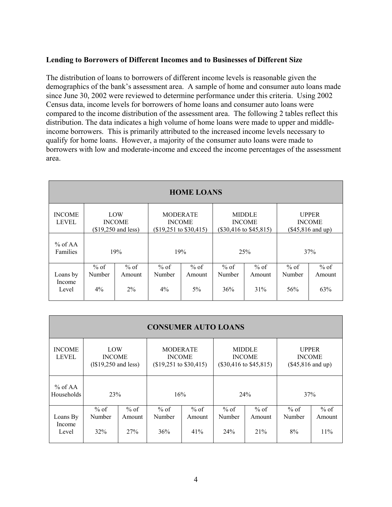#### **Lending to Borrowers of Different Incomes and to Businesses of Different Size**

The distribution of loans to borrowers of different income levels is reasonable given the demographics of the bank's assessment area. A sample of home and consumer auto loans made since June 30, 2002 were reviewed to determine performance under this criteria. Using 2002 Census data, income levels for borrowers of home loans and consumer auto loans were compared to the income distribution of the assessment area. The following 2 tables reflect this distribution. The data indicates a high volume of home loans were made to upper and middleincome borrowers. This is primarily attributed to the increased income levels necessary to qualify for home loans. However, a majority of the consumer auto loans were made to borrowers with low and moderate-income and exceed the income percentages of the assessment area.

| <b>HOME LOANS</b>             |                                              |                |                                                                     |                  |                                                              |                  |                                                      |                  |
|-------------------------------|----------------------------------------------|----------------|---------------------------------------------------------------------|------------------|--------------------------------------------------------------|------------------|------------------------------------------------------|------------------|
| <b>INCOME</b><br><b>LEVEL</b> | LOW<br><b>INCOME</b><br>$($19,250$ and less) |                | <b>MODERATE</b><br><b>INCOME</b><br>$($19,251 \text{ to } $30,415)$ |                  | <b>MIDDLE</b><br><b>INCOME</b><br>$(\$30,416$ to $\$45,815)$ |                  | <b>UPPER</b><br><b>INCOME</b><br>$(\$45,816$ and up) |                  |
| $%$ of AA<br>Families         | 19%                                          |                | 19%                                                                 |                  | 25%                                                          |                  | 37%                                                  |                  |
| Loans by<br>Income            | $%$ of<br>Number                             | % of<br>Amount | $%$ of<br>Number                                                    | $%$ of<br>Amount | $%$ of<br>Number                                             | $%$ of<br>Amount | $%$ of<br>Number                                     | $%$ of<br>Amount |
| Level                         | $4\%$                                        | $2\%$          | $4\%$                                                               | $5\%$            | 36%                                                          | 31%              | 56%                                                  | 63%              |

| <b>CONSUMER AUTO LOANS</b>    |                                               |                         |                                                                     |                       |                                                              |                         |                                                             |                         |
|-------------------------------|-----------------------------------------------|-------------------------|---------------------------------------------------------------------|-----------------------|--------------------------------------------------------------|-------------------------|-------------------------------------------------------------|-------------------------|
| <b>INCOME</b><br><b>LEVEL</b> | LOW<br><b>INCOME</b><br>$(1$19,250$ and less) |                         | <b>MODERATE</b><br><b>INCOME</b><br>$($19,251 \text{ to } $30,415)$ |                       | <b>MIDDLE</b><br><b>INCOME</b><br>$(\$30,416$ to $\$45,815)$ |                         | <b>UPPER</b><br><b>INCOME</b><br>$($45,816 \text{ and up})$ |                         |
| % of $AA$<br>Households       | 23%                                           |                         | 16%                                                                 |                       | 24%                                                          |                         | 37%                                                         |                         |
| Loans By<br>Income<br>Level   | $%$ of<br>Number<br>32%                       | $%$ of<br>Amount<br>27% | $%$ of<br>Number<br>36%                                             | % of<br>Amount<br>41% | $%$ of<br>Number<br>24%                                      | $%$ of<br>Amount<br>21% | $%$ of<br>Number<br>8%                                      | $%$ of<br>Amount<br>11% |